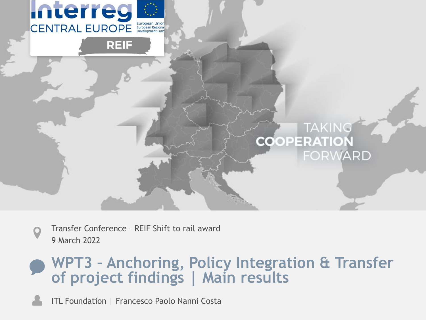

Transfer Conference – REIF Shift to rail award 9 March 2022

### **WPT3 – Anchoring, Policy Integration & Transfer of project findings | Main results**

ITL Foundation | Francesco Paolo Nanni Costa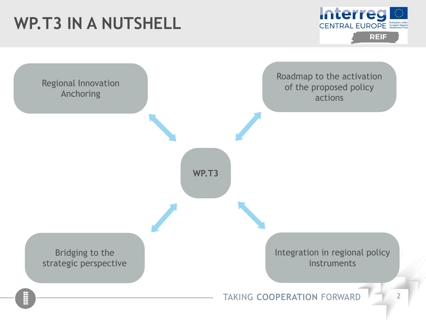# **WP.T3 IN A NUTSHELL**



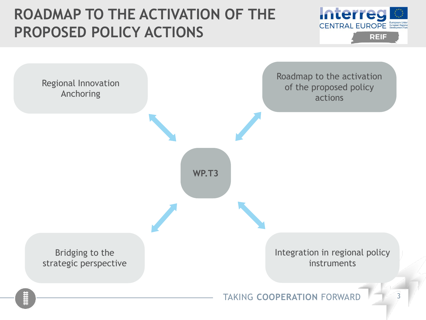

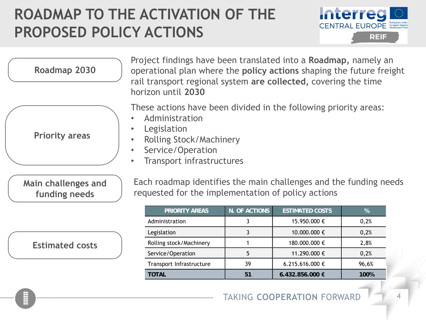

| Roadmap 2030                         | Project findings have been translated into a Roadmap, namely an<br>operational plan where the <b>policy actions</b> shaping the future freight<br>rail transport regional system are collected, covering the time<br>horizon until 2030 |
|--------------------------------------|-----------------------------------------------------------------------------------------------------------------------------------------------------------------------------------------------------------------------------------------|
| <b>Priority areas</b>                | These actions have been divided in the following priority areas:<br>Administration<br>Legislation<br><b>Rolling Stock/Machinery</b><br>$\bullet$<br>Service/Operation<br>Transport infrastructures                                      |
| Main challenges and<br>funding needs | Each roadmap identifies the main challenges and the funding needs<br>requested for the implementation of policy actions                                                                                                                 |

| PRIORITY AREAS           | N. OF ACTIONS | <b>ESTIMATED COSTS</b> | $\%$  |
|--------------------------|---------------|------------------------|-------|
| Administration           |               | 15.950.000 €           | 0,2%  |
| Legislation              |               | 10.000.000 €           | 0,2%  |
| Rolling stock/Machinery  |               | 180.000.000 €          | 2,8%  |
| Service/Operation        | 5             | 11.290.000 €           | 0,2%  |
| Transport Infrastructure | 39            | 6.215.616.000 €        | 96,6% |
| TOTAL                    | 51            | $6.432.856.000$ €      | 100%  |

#### **Estimated costs**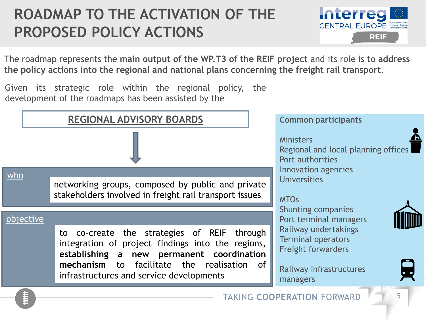

The roadmap represents the **main output of the WP.T3 of the REIF project** and its role is **to address the policy actions into the regional and national plans concerning the freight rail transport**.

Given its strategic role within the regional policy, the development of the roadmaps has been assisted by the

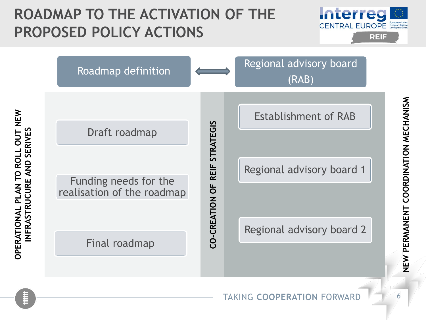



**OPERATIONAL PLAN TO ROLL OUT NEW** 

INFRASTRUCURE AND SERIVES

OPERATIONAL PLAN TO ROLL OUT NEW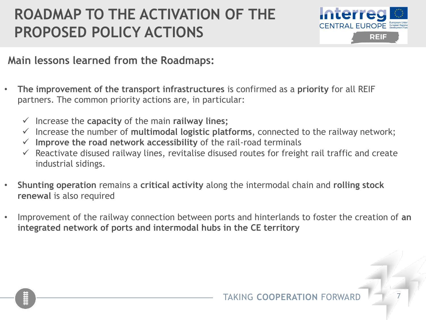

#### **Main lessons learned from the Roadmaps:**

- **The improvement of the transport infrastructures** is confirmed as a **priority** for all REIF partners. The common priority actions are, in particular:
	- ✓ Increase the **capacity** of the main **railway lines;**
	- ✓ Increase the number of **multimodal logistic platforms**, connected to the railway network;
	- ✓ **Improve the road network accessibility** of the rail-road terminals
	- $\checkmark$  Reactivate disused railway lines, revitalise disused routes for freight rail traffic and create industrial sidings.
- **Shunting operation** remains a **critical activity** along the intermodal chain and **rolling stock renewal** is also required
- Improvement of the railway connection between ports and hinterlands to foster the creation of **an integrated network of ports and intermodal hubs in the CE territory**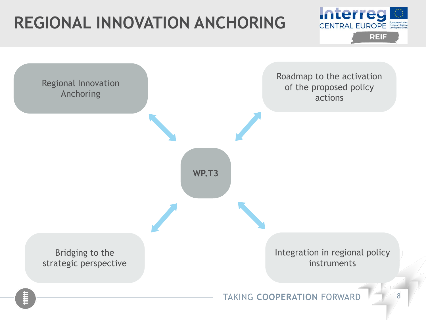# **REGIONAL INNOVATION ANCHORING**



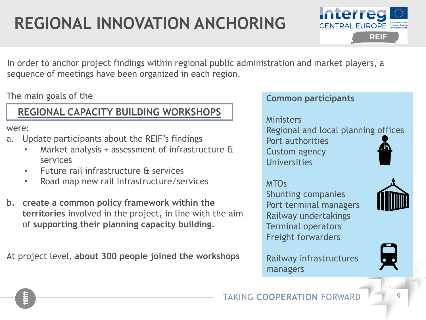# **REGIONAL INNOVATION ANCHORING**



In order to anchor project findings within regional public administration and market players, a sequence of meetings have been organized in each region.

The main goals of the

#### **REGIONAL CAPACITY BUILDING WORKSHOPS**

were:

- a. Update participants about the REIF's findings
	- Market analysis + assessment of infrastructure & services
	- Future rail infrastructure & services
	- Road map new rail infrastructure/services
- **b. create a common policy framework within the territories** involved in the project, in line with the aim of **supporting their planning capacity building**.

At project level, **about 300 people joined the workshops**

#### **Common participants**

#### **Ministers**

Regional and local planning offices Port authorities Custom agency **Universities** 

#### MTOs

Shunting companies Port terminal managers Railway undertakings Terminal operators Freight forwarders



Railway infrastructures managers

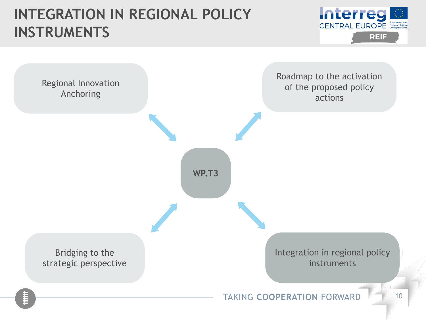### **INTEGRATION IN REGIONAL POLICY INSTRUMENTS**



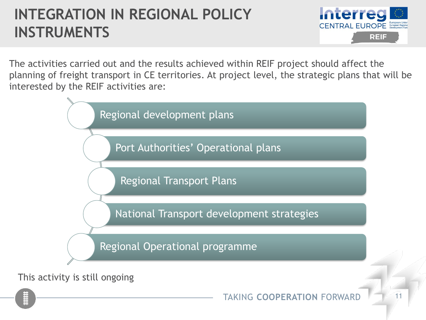## **INTEGRATION IN REGIONAL POLICY INSTRUMENTS**



The activities carried out and the results achieved within REIF project should affect the planning of freight transport in CE territories. At project level, the strategic plans that will be interested by the REIF activities are:

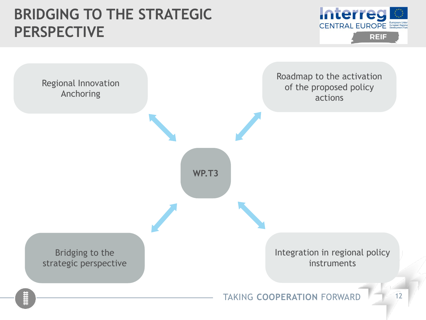### **BRIDGING TO THE STRATEGIC PERSPECTIVE**



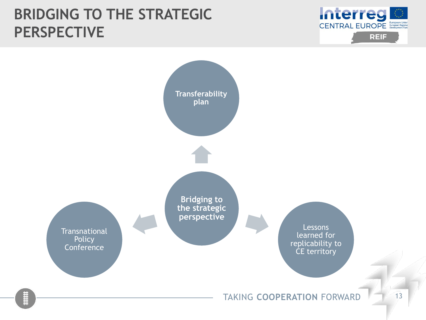### **BRIDGING TO THE STRATEGIC PERSPECTIVE**



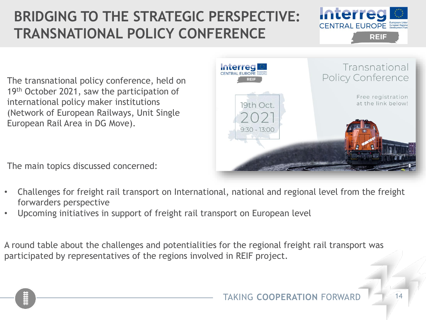# **BRIDGING TO THE STRATEGIC PERSPECTIVE: TRANSNATIONAL POLICY CONFERENCE**



The transnational policy conference, held on 19th October 2021, saw the participation of international policy maker institutions (Network of European Railways, Unit Single European Rail Area in DG Move).

The main topics discussed concerned:



- Challenges for freight rail transport on International, national and regional level from the freight forwarders perspective
- Upcoming initiatives in support of freight rail transport on European level

A round table about the challenges and potentialities for the regional freight rail transport was participated by representatives of the regions involved in REIF project.